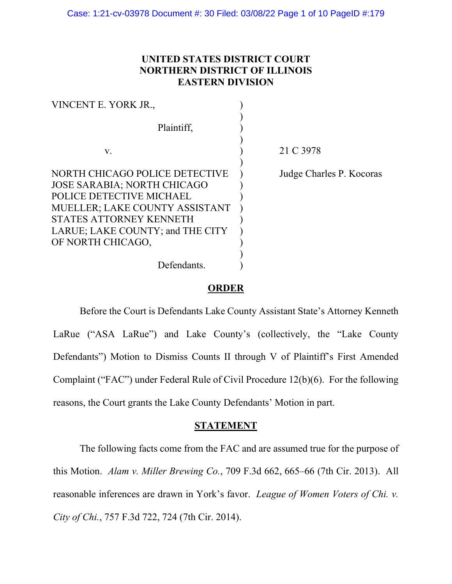# **UNITED STATES DISTRICT COURT NORTHERN DISTRICT OF ILLINOIS EASTERN DIVISION**

| VINCENT E. YORK JR.,                                                                  |                          |
|---------------------------------------------------------------------------------------|--------------------------|
| Plaintiff,                                                                            |                          |
| V.                                                                                    | 21 C 3978                |
| NORTH CHICAGO POLICE DETECTIVE<br><b>JOSE SARABIA; NORTH CHICAGO</b>                  | Judge Charles P. Kocoras |
| POLICE DETECTIVE MICHAEL<br>MUELLER; LAKE COUNTY ASSISTANT<br>STATES ATTORNEY KENNETH |                          |
| LARUE; LAKE COUNTY; and THE CITY<br>OF NORTH CHICAGO,                                 |                          |
| Defendants.                                                                           |                          |

## **ORDER**

Before the Court is Defendants Lake County Assistant State's Attorney Kenneth LaRue ("ASA LaRue") and Lake County's (collectively, the "Lake County Defendants") Motion to Dismiss Counts II through V of Plaintiff's First Amended Complaint ("FAC") under Federal Rule of Civil Procedure 12(b)(6). For the following reasons, the Court grants the Lake County Defendants' Motion in part.

## **STATEMENT**

The following facts come from the FAC and are assumed true for the purpose of this Motion. *Alam v. Miller Brewing Co.*, 709 F.3d 662, 665–66 (7th Cir. 2013).All reasonable inferences are drawn in York's favor. *League of Women Voters of Chi. v. City of Chi.*, 757 F.3d 722, 724 (7th Cir. 2014).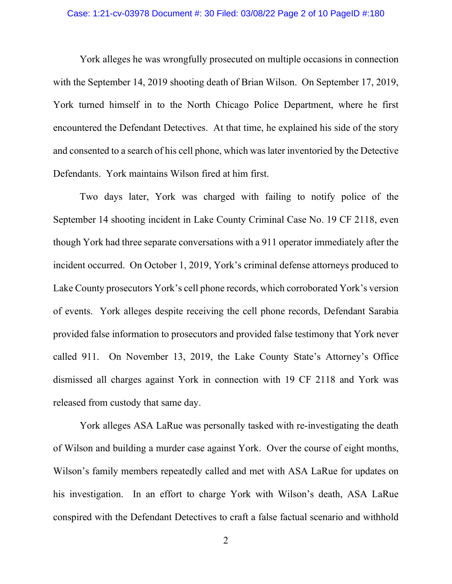#### Case: 1:21-cv-03978 Document #: 30 Filed: 03/08/22 Page 2 of 10 PageID #:180

York alleges he was wrongfully prosecuted on multiple occasions in connection with the September 14, 2019 shooting death of Brian Wilson. On September 17, 2019, York turned himself in to the North Chicago Police Department, where he first encountered the Defendant Detectives. At that time, he explained his side of the story and consented to a search of his cell phone, which was later inventoried by the Detective Defendants. York maintains Wilson fired at him first.

Two days later, York was charged with failing to notify police of the September 14 shooting incident in Lake County Criminal Case No. 19 CF 2118, even though York had three separate conversations with a 911 operator immediately after the incident occurred. On October 1, 2019, York's criminal defense attorneys produced to Lake County prosecutors York's cell phone records, which corroborated York's version of events. York alleges despite receiving the cell phone records, Defendant Sarabia provided false information to prosecutors and provided false testimony that York never called 911. On November 13, 2019, the Lake County State's Attorney's Office dismissed all charges against York in connection with 19 CF 2118 and York was released from custody that same day.

York alleges ASA LaRue was personally tasked with re-investigating the death of Wilson and building a murder case against York. Over the course of eight months, Wilson's family members repeatedly called and met with ASA LaRue for updates on his investigation. In an effort to charge York with Wilson's death, ASA LaRue conspired with the Defendant Detectives to craft a false factual scenario and withhold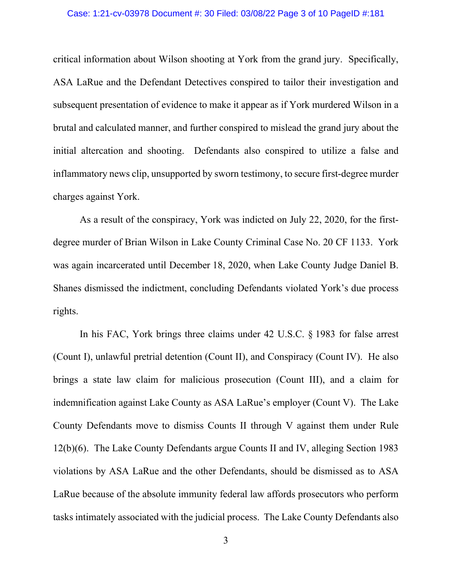## Case: 1:21-cv-03978 Document #: 30 Filed: 03/08/22 Page 3 of 10 PageID #:181

critical information about Wilson shooting at York from the grand jury. Specifically, ASA LaRue and the Defendant Detectives conspired to tailor their investigation and subsequent presentation of evidence to make it appear as if York murdered Wilson in a brutal and calculated manner, and further conspired to mislead the grand jury about the initial altercation and shooting. Defendants also conspired to utilize a false and inflammatory news clip, unsupported by sworn testimony, to secure first-degree murder charges against York.

As a result of the conspiracy, York was indicted on July 22, 2020, for the firstdegree murder of Brian Wilson in Lake County Criminal Case No. 20 CF 1133. York was again incarcerated until December 18, 2020, when Lake County Judge Daniel B. Shanes dismissed the indictment, concluding Defendants violated York's due process rights.

In his FAC, York brings three claims under 42 U.S.C. § 1983 for false arrest (Count I), unlawful pretrial detention (Count II), and Conspiracy (Count IV). He also brings a state law claim for malicious prosecution (Count III), and a claim for indemnification against Lake County as ASA LaRue's employer (Count V). The Lake County Defendants move to dismiss Counts II through V against them under Rule 12(b)(6). The Lake County Defendants argue Counts II and IV, alleging Section 1983 violations by ASA LaRue and the other Defendants, should be dismissed as to ASA LaRue because of the absolute immunity federal law affords prosecutors who perform tasks intimately associated with the judicial process. The Lake County Defendants also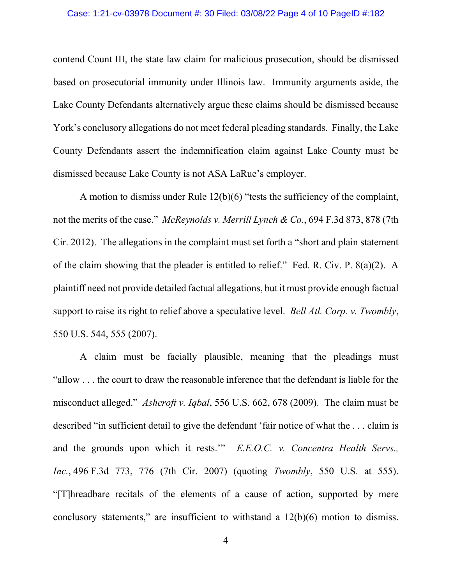#### Case: 1:21-cv-03978 Document #: 30 Filed: 03/08/22 Page 4 of 10 PageID #:182

contend Count III, the state law claim for malicious prosecution, should be dismissed based on prosecutorial immunity under Illinois law. Immunity arguments aside, the Lake County Defendants alternatively argue these claims should be dismissed because York's conclusory allegations do not meet federal pleading standards. Finally, the Lake County Defendants assert the indemnification claim against Lake County must be dismissed because Lake County is not ASA LaRue's employer.

A motion to dismiss under Rule 12(b)(6) "tests the sufficiency of the complaint, not the merits of the case." *McReynolds v. Merrill Lynch & Co.*, 694 F.3d 873, 878 (7th Cir. 2012). The allegations in the complaint must set forth a "short and plain statement of the claim showing that the pleader is entitled to relief." Fed. R. Civ. P. 8(a)(2). A plaintiff need not provide detailed factual allegations, but it must provide enough factual support to raise its right to relief above a speculative level. *Bell Atl. Corp. v. Twombly*, 550 U.S. 544, 555 (2007).

A claim must be facially plausible, meaning that the pleadings must "allow . . . the court to draw the reasonable inference that the defendant is liable for the misconduct alleged." *Ashcroft v. Iqbal*, 556 U.S. 662, 678 (2009). The claim must be described "in sufficient detail to give the defendant 'fair notice of what the . . . claim is and the grounds upon which it rests.'" *E.E.O.C. v. Concentra Health Servs., Inc.*, 496 F.3d 773, 776 (7th Cir. 2007) (quoting *Twombly*, 550 U.S. at 555). "[T]hreadbare recitals of the elements of a cause of action, supported by mere conclusory statements," are insufficient to withstand a 12(b)(6) motion to dismiss.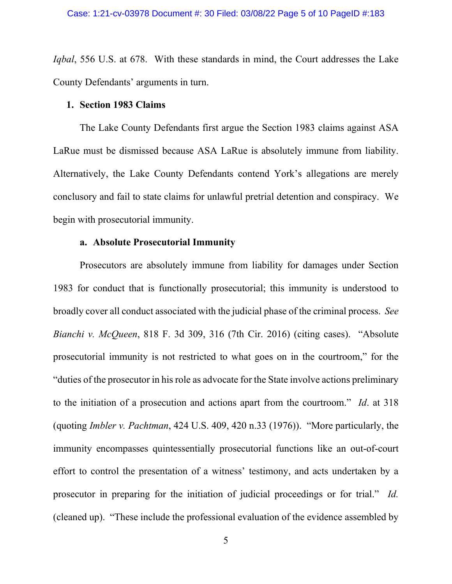*Iqbal*, 556 U.S. at 678. With these standards in mind, the Court addresses the Lake County Defendants' arguments in turn.

### **1. Section 1983 Claims**

The Lake County Defendants first argue the Section 1983 claims against ASA LaRue must be dismissed because ASA LaRue is absolutely immune from liability. Alternatively, the Lake County Defendants contend York's allegations are merely conclusory and fail to state claims for unlawful pretrial detention and conspiracy. We begin with prosecutorial immunity.

### **a. Absolute Prosecutorial Immunity**

Prosecutors are absolutely immune from liability for damages under Section 1983 for conduct that is functionally prosecutorial; this immunity is understood to broadly cover all conduct associated with the judicial phase of the criminal process. *See Bianchi v. McQueen*, 818 F. 3d 309, 316 (7th Cir. 2016) (citing cases). "Absolute prosecutorial immunity is not restricted to what goes on in the courtroom," for the "duties of the prosecutor in his role as advocate for the State involve actions preliminary to the initiation of a prosecution and actions apart from the courtroom." *Id*. at 318 (quoting *Imbler v. Pachtman*, 424 U.S. 409, 420 n.33 (1976)). "More particularly, the immunity encompasses quintessentially prosecutorial functions like an out-of-court effort to control the presentation of a witness' testimony, and acts undertaken by a prosecutor in preparing for the initiation of judicial proceedings or for trial." *Id.* (cleaned up). "These include the professional evaluation of the evidence assembled by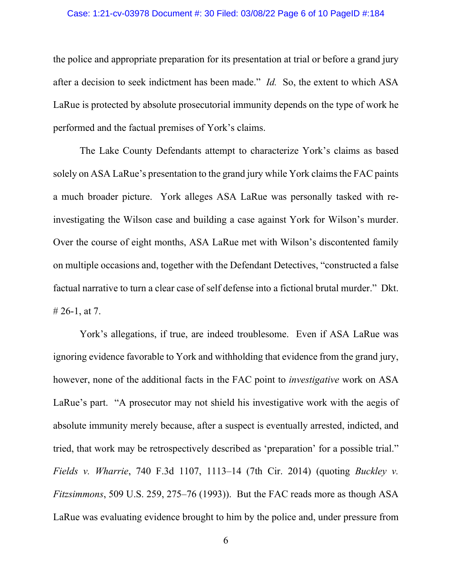### Case: 1:21-cv-03978 Document #: 30 Filed: 03/08/22 Page 6 of 10 PageID #:184

the police and appropriate preparation for its presentation at trial or before a grand jury after a decision to seek indictment has been made." *Id.* So, the extent to which ASA LaRue is protected by absolute prosecutorial immunity depends on the type of work he performed and the factual premises of York's claims.

The Lake County Defendants attempt to characterize York's claims as based solely on ASA LaRue's presentation to the grand jury while York claims the FAC paints a much broader picture. York alleges ASA LaRue was personally tasked with reinvestigating the Wilson case and building a case against York for Wilson's murder. Over the course of eight months, ASA LaRue met with Wilson's discontented family on multiple occasions and, together with the Defendant Detectives, "constructed a false factual narrative to turn a clear case of self defense into a fictional brutal murder." Dkt. # 26-1, at 7.

York's allegations, if true, are indeed troublesome. Even if ASA LaRue was ignoring evidence favorable to York and withholding that evidence from the grand jury, however, none of the additional facts in the FAC point to *investigative* work on ASA LaRue's part. "A prosecutor may not shield his investigative work with the aegis of absolute immunity merely because, after a suspect is eventually arrested, indicted, and tried, that work may be retrospectively described as 'preparation' for a possible trial." *Fields v. Wharrie*, 740 F.3d 1107, 1113–14 (7th Cir. 2014) (quoting *Buckley v. Fitzsimmons*, 509 U.S. 259, 275–76 (1993)). But the FAC reads more as though ASA LaRue was evaluating evidence brought to him by the police and, under pressure from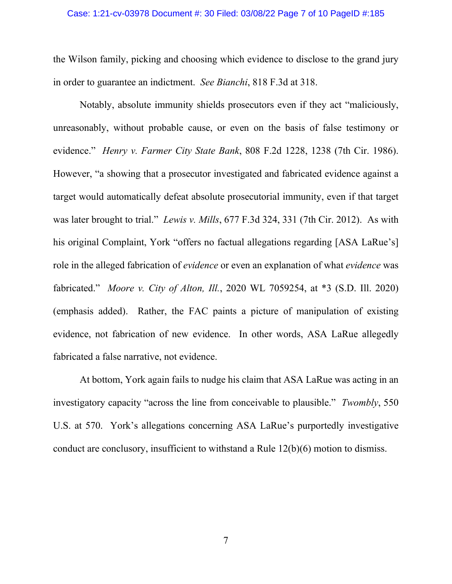## Case: 1:21-cv-03978 Document #: 30 Filed: 03/08/22 Page 7 of 10 PageID #:185

the Wilson family, picking and choosing which evidence to disclose to the grand jury in order to guarantee an indictment. *See Bianchi*, 818 F.3d at 318.

Notably, absolute immunity shields prosecutors even if they act "maliciously, unreasonably, without probable cause, or even on the basis of false testimony or evidence." *Henry v. Farmer City State Bank*, 808 F.2d 1228, 1238 (7th Cir. 1986). However, "a showing that a prosecutor investigated and fabricated evidence against a target would automatically defeat absolute prosecutorial immunity, even if that target was later brought to trial." *Lewis v. Mills*, 677 F.3d 324, 331 (7th Cir. 2012). As with his original Complaint, York "offers no factual allegations regarding [ASA LaRue's] role in the alleged fabrication of *evidence* or even an explanation of what *evidence* was fabricated." *Moore v. City of Alton, Ill.*, 2020 WL 7059254, at \*3 (S.D. Ill. 2020) (emphasis added). Rather, the FAC paints a picture of manipulation of existing evidence, not fabrication of new evidence. In other words, ASA LaRue allegedly fabricated a false narrative, not evidence.

At bottom, York again fails to nudge his claim that ASA LaRue was acting in an investigatory capacity "across the line from conceivable to plausible." *Twombly*, 550 U.S. at 570. York's allegations concerning ASA LaRue's purportedly investigative conduct are conclusory, insufficient to withstand a Rule 12(b)(6) motion to dismiss.

7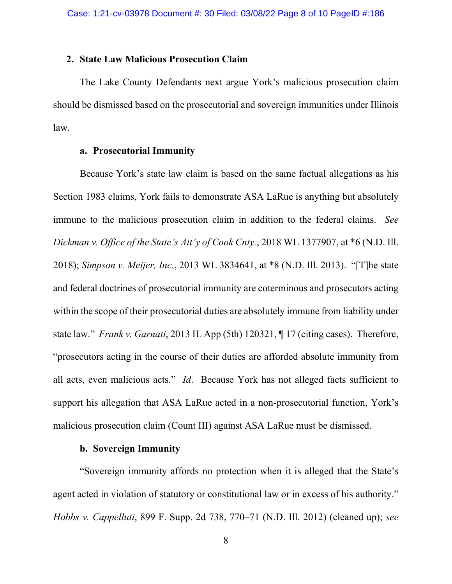### **2. State Law Malicious Prosecution Claim**

The Lake County Defendants next argue York's malicious prosecution claim should be dismissed based on the prosecutorial and sovereign immunities under Illinois law.

## **a. Prosecutorial Immunity**

Because York's state law claim is based on the same factual allegations as his Section 1983 claims, York fails to demonstrate ASA LaRue is anything but absolutely immune to the malicious prosecution claim in addition to the federal claims. *See Dickman v. Office of the State's Att'y of Cook Cnty.*, 2018 WL 1377907, at \*6 (N.D. Ill. 2018); *Simpson v. Meijer, Inc.*, 2013 WL 3834641, at \*8 (N.D. Ill. 2013). "[T]he state and federal doctrines of prosecutorial immunity are coterminous and prosecutors acting within the scope of their prosecutorial duties are absolutely immune from liability under state law." *Frank v. Garnati*, 2013 IL App (5th) 120321, ¶ 17 (citing cases). Therefore, "prosecutors acting in the course of their duties are afforded absolute immunity from all acts, even malicious acts." *Id*. Because York has not alleged facts sufficient to support his allegation that ASA LaRue acted in a non-prosecutorial function, York's malicious prosecution claim (Count III) against ASA LaRue must be dismissed.

## **b. Sovereign Immunity**

"Sovereign immunity affords no protection when it is alleged that the State's agent acted in violation of statutory or constitutional law or in excess of his authority." *Hobbs v. Cappelluti*, 899 F. Supp. 2d 738, 770–71 (N.D. Ill. 2012) (cleaned up); *see*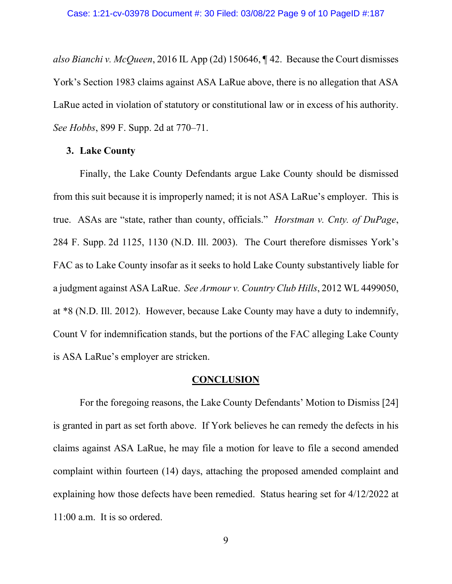*also Bianchi v. McQueen*, 2016 IL App (2d) 150646, ¶ 42. Because the Court dismisses York's Section 1983 claims against ASA LaRue above, there is no allegation that ASA LaRue acted in violation of statutory or constitutional law or in excess of his authority. *See Hobbs*, 899 F. Supp. 2d at 770–71.

## **3. Lake County**

Finally, the Lake County Defendants argue Lake County should be dismissed from this suit because it is improperly named; it is not ASA LaRue's employer. This is true. ASAs are "state, rather than county, officials." *Horstman v. Cnty. of DuPage*, 284 F. Supp. 2d 1125, 1130 (N.D. Ill. 2003). The Court therefore dismisses York's FAC as to Lake County insofar as it seeks to hold Lake County substantively liable for a judgment against ASA LaRue. *See Armour v. Country Club Hills*, 2012 WL 4499050, at \*8 (N.D. Ill. 2012). However, because Lake County may have a duty to indemnify, Count V for indemnification stands, but the portions of the FAC alleging Lake County is ASA LaRue's employer are stricken.

#### **CONCLUSION**

For the foregoing reasons, the Lake County Defendants' Motion to Dismiss [24] is granted in part as set forth above. If York believes he can remedy the defects in his claims against ASA LaRue, he may file a motion for leave to file a second amended complaint within fourteen (14) days, attaching the proposed amended complaint and explaining how those defects have been remedied. Status hearing set for 4/12/2022 at 11:00 a.m. It is so ordered.